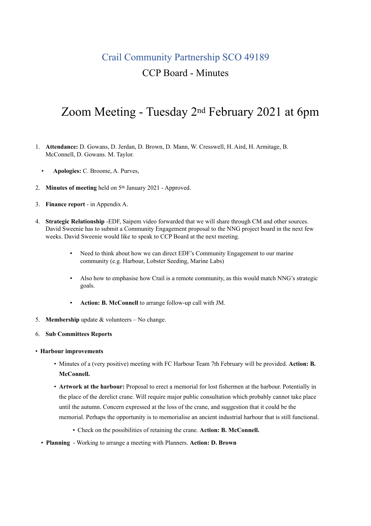## Crail Community Partnership SCO 49189 CCP Board - Minutes

# Zoom Meeting - Tuesday 2nd February 2021 at 6pm

- 1. **Attendance:** D. Gowans, D. Jerdan, D. Brown, D. Mann, W. Cresswell, H. Aird, H. Armitage, B. McConnell, D. Gowans. M. Taylor.
	- **Apologies:** C. Broome, A. Purves,
- 2. **Minutes of meeting** held on 5th January 2021 Approved.
- 3. **Finance report**  in Appendix A.
- 4. **Strategic Relationship** -EDF, Saipem video forwarded that we will share through CM and other sources. David Sweenie has to submit a Community Engagement proposal to the NNG project board in the next few weeks. David Sweenie would like to speak to CCP Board at the next meeting.
	- Need to think about how we can direct EDF's Community Engagement to our marine community (e.g. Harbour, Lobster Seeding, Marine Labs)
	- Also how to emphasise how Crail is a remote community, as this would match NNG's strategic goals.
	- **Action: B. McConnell** to arrange follow-up call with JM.
- 5. **Membership** update & volunteers No change.
- 6. **Sub Committees Reports**
- **Harbour improvements**
	- Minutes of a (very positive) meeting with FC Harbour Team 7th February will be provided. **Action: B. McConnell.**
	- **Artwork at the harbour:** Proposal to erect a memorial for lost fishermen at the harbour. Potentially in the place of the derelict crane. Will require major public consultation which probably cannot take place until the autumn. Concern expressed at the loss of the crane, and suggestion that it could be the memorial. Perhaps the opportunity is to memorialise an ancient industrial harbour that is still functional.
		- Check on the possibilities of retaining the crane. **Action: B. McConnell.**
	- **Planning**  Working to arrange a meeting with Planners. **Action: D. Brown**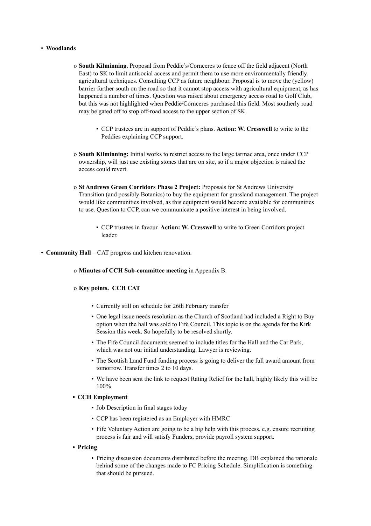#### • **Woodlands**

- o **South Kilminning.** Proposal from Peddie's/Cornceres to fence off the field adjacent (North East) to SK to limit antisocial access and permit them to use more environmentally friendly agricultural techniques. Consulting CCP as future neighbour. Proposal is to move the (yellow) barrier further south on the road so that it cannot stop access with agricultural equipment, as has happened a number of times. Question was raised about emergency access road to Golf Club, but this was not highlighted when Peddie/Cornceres purchased this field. Most southerly road may be gated off to stop off-road access to the upper section of SK.
	- CCP trustees are in support of Peddie's plans. **Action: W. Cresswell** to write to the Peddies explaining CCP support.
- o **South Kilminning:** Initial works to restrict access to the large tarmac area, once under CCP ownership, will just use existing stones that are on site, so if a major objection is raised the access could revert.
- o **St Andrews Green Corridors Phase 2 Project:** Proposals for St Andrews University Transition (and possibly Botanics) to buy the equipment for grassland management. The project would like communities involved, as this equipment would become available for communities to use. Question to CCP, can we communicate a positive interest in being involved.
	- CCP trustees in favour. **Action: W. Cresswell** to write to Green Corridors project leader.
- **Community Hall** CAT progress and kitchen renovation.
	- o **Minutes of CCH Sub-committee meeting** in Appendix B.

#### o **Key points. CCH CAT**

- Currently still on schedule for 26th February transfer
- One legal issue needs resolution as the Church of Scotland had included a Right to Buy option when the hall was sold to Fife Council. This topic is on the agenda for the Kirk Session this week. So hopefully to be resolved shortly.
- The Fife Council documents seemed to include titles for the Hall and the Car Park, which was not our initial understanding. Lawyer is reviewing.
- The Scottish Land Fund funding process is going to deliver the full award amount from tomorrow. Transfer times 2 to 10 days.
- We have been sent the link to request Rating Relief for the hall, highly likely this will be 100%

#### **• CCH Employment**

- Job Description in final stages today
- CCP has been registered as an Employer with HMRC
- Fife Voluntary Action are going to be a big help with this process, e.g. ensure recruiting process is fair and will satisfy Funders, provide payroll system support.
- **• Pricing** 
	- Pricing discussion documents distributed before the meeting. DB explained the rationale behind some of the changes made to FC Pricing Schedule. Simplification is something that should be pursued.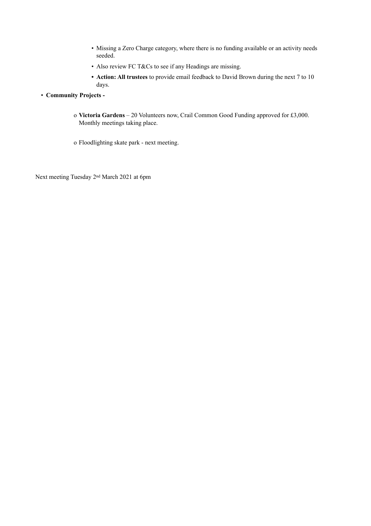- Missing a Zero Charge category, where there is no funding available or an activity needs seeded.
- Also review FC T&Cs to see if any Headings are missing.
- **• Action: All trustees** to provide email feedback to David Brown during the next 7 to 10 days.
- **Community Projects** 
	- o **Victoria Gardens**  20 Volunteers now, Crail Common Good Funding approved for £3,000. Monthly meetings taking place.
	- o Floodlighting skate park next meeting.

Next meeting Tuesday 2nd March 2021 at 6pm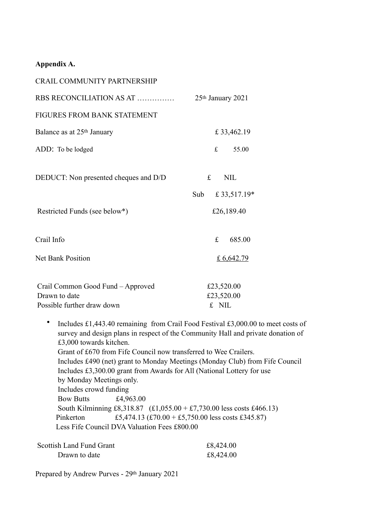## **Appendix A.**

| <b>CRAIL COMMUNITY PARTNERSHIP</b>          |                      |
|---------------------------------------------|----------------------|
| RBS RECONCILIATION AS AT                    | 25th January 2021    |
| <b>FIGURES FROM BANK STATEMENT</b>          |                      |
| Balance as at 25 <sup>th</sup> January      | £ 33,462.19          |
| ADD: To be lodged                           | 55.00<br>$f_{\cdot}$ |
| DEDUCT: Non presented cheques and D/D       | £<br><b>NIL</b>      |
|                                             | £33,517.19*<br>Sub   |
| Restricted Funds (see below*)               | £26,189.40           |
| Crail Info                                  | £<br>685.00          |
| <b>Net Bank Position</b>                    | £ 6,642.79           |
| Crail Common Good Fund – Approved           | £23,520.00           |
| Drawn to date<br>Possible further draw down | £23,520.00<br>£ NIL  |
|                                             |                      |

• Includes £1,443.40 remaining from Crail Food Festival £3,000.00 to meet costs of survey and design plans in respect of the Community Hall and private donation of £3,000 towards kitchen. Grant of £670 from Fife Council now transferred to Wee Crailers. Includes £490 (net) grant to Monday Meetings (Monday Club) from Fife Council Includes £3,300.00 grant from Awards for All (National Lottery for use by Monday Meetings only. Includes crowd funding Bow Butts £4,963.00 South Kilminning £8,318.87 (£1,055.00 + £7,730.00 less costs £466.13) Pinkerton  $£5,474.13 (£70.00 + £5,750.00$  less costs £345.87) Less Fife Council DVA Valuation Fees £800.00

| Scottish Land Fund Grant | £8,424.00 |
|--------------------------|-----------|
| Drawn to date            | £8,424.00 |

Prepared by Andrew Purves - 29th January 2021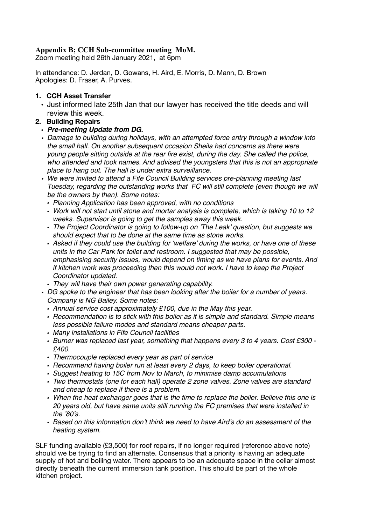## **Appendix B; CCH Sub-committee meeting MoM.**

Zoom meeting held 26th January 2021, at 6pm

In attendance: D. Jerdan, D. Gowans, H. Aird, E. Morris, D. Mann, D. Brown Apologies: D. Fraser, A. Purves.

#### **1. CCH Asset Transfer**

• Just informed late 25th Jan that our lawyer has received the title deeds and will review this week.

### **2. Building Repairs**

- *Pre-meeting Update from DG.*
- *• Damage to building during holidays, with an attempted force entry through a window into the small hall. On another subsequent occasion Sheila had concerns as there were young people sitting outside at the rear fire exist, during the day. She called the police, who attended and took names. And advised the youngsters that this is not an appropriate place to hang out. The hall is under extra surveillance.*
- *• We were invited to attend a Fife Council Building services pre-planning meeting last Tuesday, regarding the outstanding works that FC will still complete (even though we will be the owners by then). Some notes:*
	- *• Planning Application has been approved, with no conditions*
	- *• Work will not start until stone and mortar analysis is complete, which is taking 10 to 12 weeks. Supervisor is going to get the samples away this week.*
	- *• The Project Coordinator is going to follow-up on 'The Leak' question, but suggests we should expect that to be done at the same time as stone works.*
	- *• Asked if they could use the building for 'welfare' during the works, or have one of these units in the Car Park for toilet and restroom. I suggested that may be possible, emphasising security issues, would depend on timing as we have plans for events. And if kitchen work was proceeding then this would not work. I have to keep the Project Coordinator updated.*
	- *• They will have their own power generating capability.*
- *• DG spoke to the engineer that has been looking after the boiler for a number of years. Company is NG Bailey. Some notes:*
	- *• Annual service cost approximately £100, due in the May this year.*
	- *• Recommendation is to stick with this boiler as it is simple and standard. Simple means less possible failure modes and standard means cheaper parts.*
	- *• Many installations in Fife Council facilities*
	- *• Burner was replaced last year, something that happens every 3 to 4 years. Cost £300 £400.*
	- *• Thermocouple replaced every year as part of service*
	- *• Recommend having boiler run at least every 2 days, to keep boiler operational.*
	- *• Suggest heating to 15C from Nov to March, to minimise damp accumulations*
	- *• Two thermostats (one for each hall) operate 2 zone valves. Zone valves are standard and cheap to replace if there is a problem.*
	- *• When the heat exchanger goes that is the time to replace the boiler. Believe this one is 20 years old, but have same units still running the FC premises that were installed in the '80's.*
	- *• Based on this information don't think we need to have Aird's do an assessment of the heating system.*

SLF funding available (£3,500) for roof repairs, if no longer required (reference above note) should we be trying to find an alternate. Consensus that a priority is having an adequate supply of hot and boiling water. There appears to be an adequate space in the cellar almost directly beneath the current immersion tank position. This should be part of the whole kitchen project.